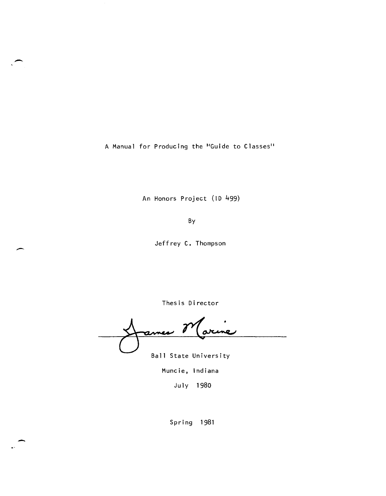A Manual for Producing the "'Guide to Classes"

-

 $\overline{\phantom{a}}$ 

-

An Honors Project (ID 499)

By

Jeffrey C. Thompson

Thesis Director

no j ø٨

Ball State University

Muncie, Indiana

Ju ly 1980

Spring 1981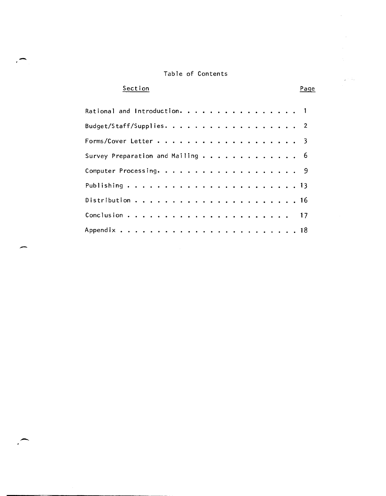### Table of Contents

# **Section**

-

-

--

## Page

÷.

e tu Ù,

| Rational and Introduction. 1     |  |  |  |  |  |  |  |  |  |  |  |  |
|----------------------------------|--|--|--|--|--|--|--|--|--|--|--|--|
| Budget/Staff/Supplies. 2         |  |  |  |  |  |  |  |  |  |  |  |  |
|                                  |  |  |  |  |  |  |  |  |  |  |  |  |
| Survey Preparation and Mailing 6 |  |  |  |  |  |  |  |  |  |  |  |  |
|                                  |  |  |  |  |  |  |  |  |  |  |  |  |
|                                  |  |  |  |  |  |  |  |  |  |  |  |  |
|                                  |  |  |  |  |  |  |  |  |  |  |  |  |
|                                  |  |  |  |  |  |  |  |  |  |  |  |  |
|                                  |  |  |  |  |  |  |  |  |  |  |  |  |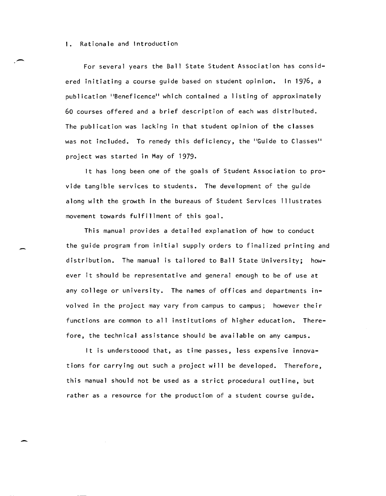-- I. Rationale and Introduction For several years the Ball State Student Association has considered initiating a course guide based on student opinion. In 1976, a publication "Beneficence" which contained a I isting of approximately 60 courses offered and a brief description of each was distributed. The publication was lacking in that student opinion of the classes was not included. To remedy this deficiency, the "Guide to Classes" project was started in May of 1979.

> It has long been one of the goals of Student Association to provide tangible services to students. The development of the guide along with the growth in the bureaus of Student Services illustrates movement towards fulfillment of this goal.

This manual provides a detailed explanation of how to conduct the guide program from initial supply orders to finalized printing and distribution. The manual is tailored to Ball State University; however it should be representative and general enough to be of use at any college or university. The names of offices and departments involved in the project may vary from campus to campus; however their functions are common to all institutions of higher education. Therefore, the technical assistance should be available on any campus.

It is understoood that, as time passes, less expensive innovations for carrying out such a project will be developed. Therefore, this manual should not be used as a strict procedural outline, but rather as a resource for the production of a student course guide.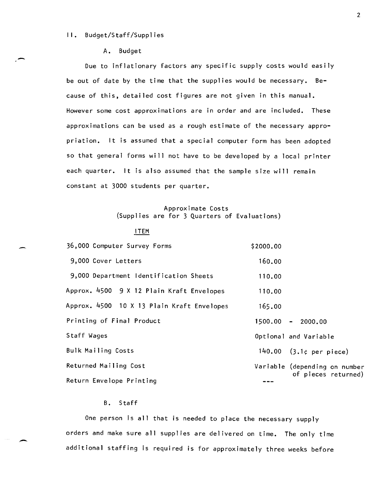#### II. Budget/Staff/Supplies

#### A. Budget

Due to inflationary factors any specific supply costs would easily be out of date by the time that the supplies would be necessary. Because of this, detailed cost figures are not given in this manual. However some cost approximations are in order and are included. These approximations can be used as a rough estimate of the necessary appropriation. It is assumed that a special computer form has been adopted so that general forms will not have to be developed by a local printer each quarter. It is also assumed that the sample size will remain constant at 3000 students per quarter.

#### Approximate Costs (Supplies are for 3 Quarters of Evaluations)

#### ITEM

| 36,000 Computer Survey Forms               | \$2000.00                     |
|--------------------------------------------|-------------------------------|
| 9,000 Cover Letters                        | 160.00                        |
| 9,000 Department Identification Sheets     | 110.00                        |
| Approx. 4500 9 X 12 Plain Kraft Envelopes  | 110.00                        |
| Approx. 4500 10 X 13 Plain Kraft Envelopes | 165.00                        |
| Printing of Final Product                  | $1500.00 - 2000.00$           |
| Staff Wages                                | Optional and Variable         |
| <b>Bulk Mailing Costs</b>                  | 140.00 $(3.1c$ per piece)     |
| Returned Mailing Cost                      | Variable (depending on number |
| Return Envelope Printing                   | of pieces returned)           |

#### B. Staff

One person is all that is needed to place the necessary supply orders and make sure all supplies are delivered on time. The only time additional staffing is required is for approximately three weeks before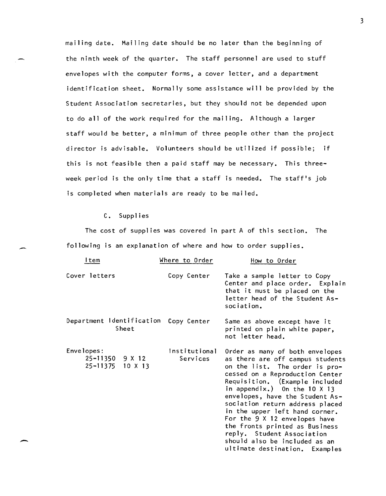mailing date. Mailing date should be no later than the beginning of the ninth week of the quarter. The staff personnel are used to stuff envelopes with the computer forms, a cover letter, and a department identification sheet. Normally some assistance will be provided by the Student Association secretaries, but they should not be depended upon to do all of the work required for the mailing. Although a larger staff would be better, a minimum of three people other than the project director is advisable. Volunteers should be utilized if possible; if this is not feasible then a paid staff may be necessary. This threeweek period is the only time that a staff is needed. The staff's job is completed when materials are ready to be mailed.

#### C. Supplies

-

-

The cost of supplies was covered in part A of this section. The following is an explanation of where and how to order supplies.

| ltem                                                  | Where to Order            | How to Order                                                                                                                                                                                                                                                                                                                                                                                                                                                                                  |
|-------------------------------------------------------|---------------------------|-----------------------------------------------------------------------------------------------------------------------------------------------------------------------------------------------------------------------------------------------------------------------------------------------------------------------------------------------------------------------------------------------------------------------------------------------------------------------------------------------|
| Cover letters                                         | Copy Center               | Take a sample letter to Copy<br>Center and place order. Explain<br>that it must be placed on the<br>letter head of the Student As-<br>sociation.                                                                                                                                                                                                                                                                                                                                              |
| Department Identification<br>Sheet                    | Copy Center               | Same as above except have it<br>printed on plain white paper,<br>not letter head.                                                                                                                                                                                                                                                                                                                                                                                                             |
| Envelopes:<br>$25 - 11350$ 9 X 12<br>25-11375 10 X 13 | Institutional<br>Services | Order as many of both envelopes<br>as there are off campus students<br>on the list. The order is pro-<br>cessed on a Reproduction Center<br>Requisition. (Example included<br>in appendix.) On the $10 \times 13$<br>envelopes, have the Student As-<br>sociation return address placed<br>in the upper left hand corner.<br>For the 9 X 12 envelopes have<br>the fronts printed as Business<br>reply. Student Association<br>should also be included as an<br>ultimate destination. Examples |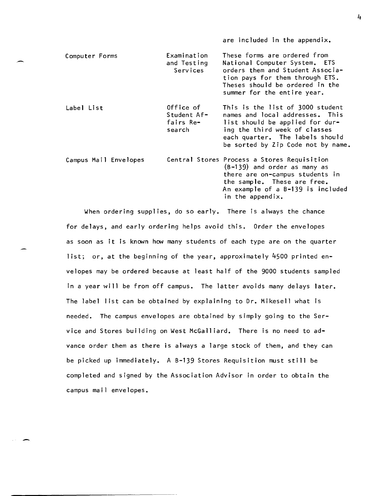| Computer Forms        | Examination<br>and Testing<br>Services          | These forms are ordered from<br>National Computer System. ETS<br>orders them and Student Associa-<br>tion pays for them through ETS.<br>Theses should be ordered in the<br>summer for the entire year.           |
|-----------------------|-------------------------------------------------|------------------------------------------------------------------------------------------------------------------------------------------------------------------------------------------------------------------|
| Label List            | Office of<br>Student Af-<br>fairs Re-<br>search | This is the list of 3000 student<br>names and local addresses. This<br>list should be applied for dur-<br>ing the third week of classes<br>each quarter. The labels should<br>be sorted by Zip Code not by name. |
| Campus Mail Envelopes |                                                 | Central Stores Process a Stores Requisition<br>$(B-139)$ and order as many as<br>there are on-campus students in<br>the sample. These are free.<br>An example of a B-139 is included                             |

are included in the appendix.

in the appendix.

When ordering supplies, do so early. There is always the chance for delays, and early ordering helps *avoid* this. Order the envelopes as soon as it is known how many students of each type are on the quarter list; or, at the beginning of the year, approximately 4500 printed envelopes may be ordered because at least half of the 9000 students sampled in a year will be from off campus. The latter avoids many delays later. The label list can be obtained by explaining to Dr. Mikesell what is needed. The campus envelopes are obtained by simply going to the Ser*vice* and Stores building on West McGalliard. There is no need to ad*vance* order them as there is always a large stock of them, and they can be picked up immediately. A B-139 Stores Requisition must still be completed and signed by the Association Advisor in order to obtain the campus mail envelopes.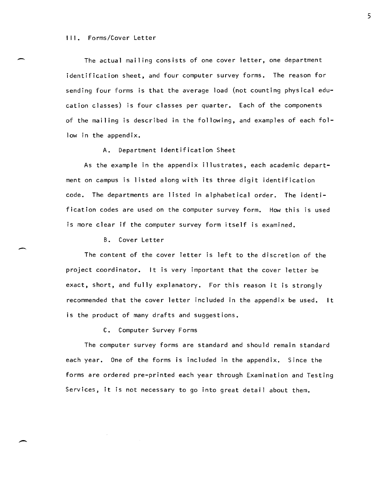#### III. Forms/Cover Letter

The actual mailing consists of one cover letter, one department identification sheet, and four computer survey forms. The reason for sending four forms is that the average load (not counting physical education classes) is four classes per quarter. Each of the components of the mailing is described in the following, and examples of each follow in the appendix.

A. Department Identification Sheet

As the example in the appendix illustrates, each academic department on campus is listed along with its three digit identification code. The departments are listed in alphabetical order. The identification codes are used on the computer survey form. How this is used is more clear if the computer survey form itself is examined.

B. Cover Letter

The content of the cover letter is left to the discretion of the project coordinator. **It** is very important that the cover letter be exact, short, and fully explanatory. For this reason it is strongly recommended that the cover letter included in the appendix be used. **It**  is the product of many drafts and suggestions.

C. Computer Survey Forms

The computer survey forms are standard and should remain standard each year. One of the forms is included in the appendix. Since the forms are ordered pre-printed each year through Examination and Testing Services, it is not necessary to go into great detail about them.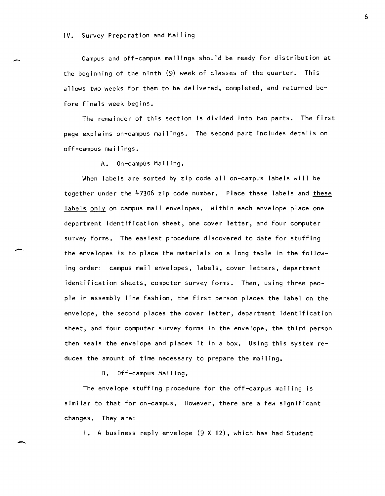#### IV. Survey Preparation and Mailing

Campus and off-campus mailings should be ready for distribution at the beginning of the ninth (9) week of classes of the quarter. This allows two weeks for them to be delivered, completed, and returned before finals week begins.

The remainder of this section is divided into two parts. The first page explains on-campus mailings. The second part includes details on off-campus mailings.

A. On-campus Mailing.

When labels are sorted by zip code all on-campus labels will be together under the 47306 zip code number. Place these labels and these labels only on campus mail envelopes. Within each envelope place one department identification sheet, one cover letter, and four computer survey forms. The easiest procedure discovered to date for stuffing the envelopes is to place the materials on a long table in the following order: campus mail envelopes, labels, cover letters, department identification sheets, computer survey forms. Then, using three people in assembly line fashion, the first person places the label on the envelope, the second places the cover letter, department identification sheet, and four computer survey forms in the envelope, the third person then seals the envelope and places it in a box. Using this system reduces the amount of time necessary to prepare the mailing.

B. Off-campus Mailing.

The envelope stuffing procedure for the off-campus mailing is similar to that for on-campus. However, there are a few significant changes. They are:

1. A business reply envelope (9 X 12), which has had Student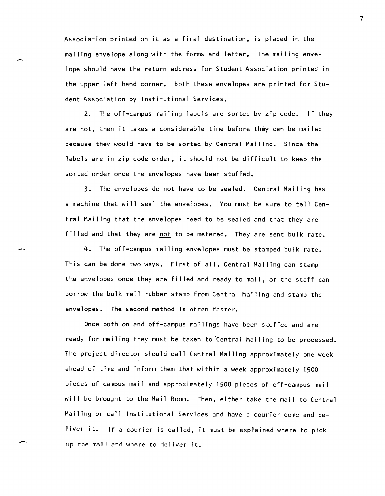Association printed on it as a final destination, is placed in the mailing envelope along with the forms and letter. The mailing envelope should have the return address for Student Association printed in the upper left hand corner. Both these envelopes are printed for Student Association by Institutional Services.

2. The off-campus mailing labels are sorted by zip code. If they are not, then it takes a considerable time before they can be mailed because they would have to be sorted by Central Mailing. Since the labels are in zip code order, it should not be difficult to keep the sorted order once the envelopes have been stuffed.

3. The envelopes do not have to be sealed. Central Mailing has a machine that will seal the envelopes. You must be sure to tell Central Mailing that the envelopes need to be sealed and that they are filled and that they are not to be metered. They are sent bulk rate.

4. The off-campus mailing envelopes must be stamped bulk rate. This can be done two ways. First of all, Central Mailing can stamp the envelopes once they are filled and ready to mail, or the staff can borrow the bulk mail rubber stamp from Central Mailing and stamp the envelopes. The second method is often faster.

Once both on and off-campus mailings have been stuffed and are ready for mailing they must be taken to 'Central Mailing to be processed. The project director should call Central Mailing approximately one week ahead of time and inform them that within a week approximately 1500 pieces of campus mail and approximately 1500 pieces of off-campus mail will be brought to the Mail Room. Then, either take the mail to Central Mailing or call Institutional Services and have a courier come and deliver it. If a courier is called, it must be explained where to pick up the mail and where to del iver it.

-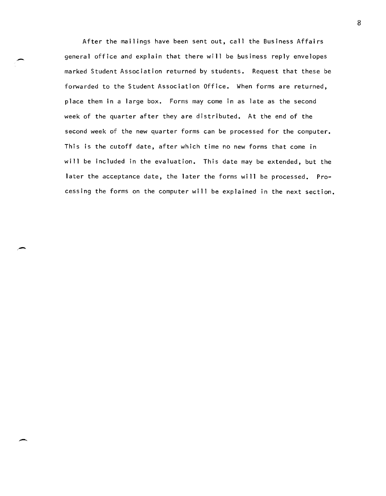After the mailings have been sent out, call the Business Affairs general office and explain that there will be business reply envelopes marked Student Association returned by students. Request that these be forwarded to the Student Association Office. When forms are returned, place them in a large box. Forms may come in as late as the second week of the quarter after they are distributed. At the end of the second week of the new quarter forms can be processed for the computer. This is the cutoff date, after which time no new forms that come in will be included in the evaluation. This date may be extended, but the later the acceptance date, the later the forms will be processed. Processing the forms on the computer will be explained in the next section.

-

e-

-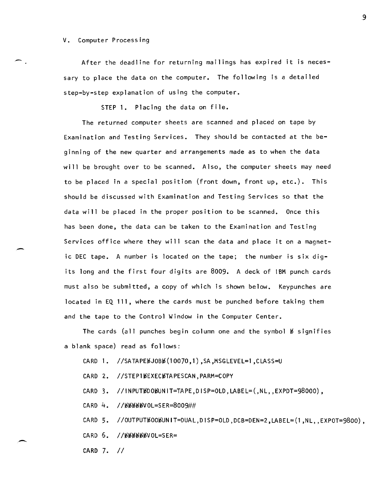#### V. Computer Processing

-

-

--

After the deadline for returning mailings has expired it is necessary to place the data on the computer. The following is a detailed step-by-step explanation of using the computer.

STEP 1. Placing the data on file.

The returned computer sheets are scanned and placed on tape by Examination and Testing Services. They should be contacted at the beginning of the new quarter and arrangements made as to when the data will be brought over to be scanned. Also, the computer sheets may need to be placed in a special position (front down, front up, etc.). This should be discussed with Examination and Testing Services so that the data will be placed in the proper position to be scanned. Once this has been done, the data can be taken to the Examination and Testing Services office where they will scan the data and place it on a magnetic DEC tape. A number is located on the tape; the number is six digits long and the first four digits are 8009. A deck of IBM punch cards must also be submitted, a copy of which is shown below. Keypunches are located in EQ 111, where the cards must be punched before taking them and the tape to the Control Window in the Computer Center.

The cards (all punches begin column one and the symbol  $#$  signifies a blank space) read as follows:

 $CARD$  1. //SATAPE $b$ JOB $b$ (10070,1),SA,MSGLEVEL=1,CLASS=U

CARD 2. //STEP1bEXECbTAPESCAN.PARM=COPY

 $CARD$  3. //INPUT $YDQ$ WINIT=TAPE,DISP=OLD,LABEL= $(ML, EXPDT=98000)$ ,

 $CARD$  4. // $b$  $b$  $b$  $b$  $b$  $b$  $c$  $c$ =SER=8009##

 $CARD 5.$  //OUTPUT $WODWU$ T $=DUAL, DISP=OLD, DCB=DEN=2, LABEL=(1, NL, EXPOT=9800)$ ,

 $CARD 6.$  // $b$  $b$  $b$  $b$  $b$  $b$  $b$  $b$  $b$  $v$  $0$ L=SER=

CARD 7. //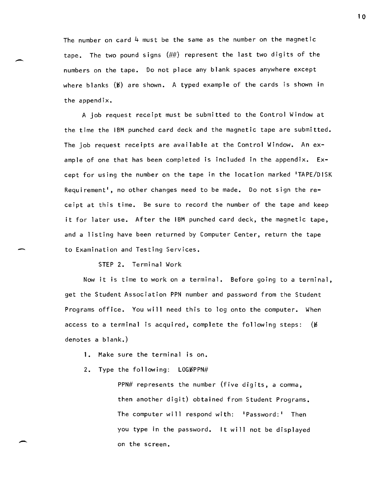The number on card 4 must be the same as the number on the magnetic tape. The two pound signs (##) represent the last two digits of the numbers on the tape. Do not place any blank spaces anywhere except where blanks  $(b)$  are shown. A typed example of the cards is shown in the appendix.

A job request receipt must be submitted to the Control Window at the time the IBM punched card deck and the magnetic tape are submitted. The job request receipts are available at the Control Window. An example of one that has been completed is included in the appendix. Except for using the number on the tape in the location marked 'TAPE/DISK Requirement', no other changes need to be made. Do not sign the receipt at this time. Be sure to record the number of the tape and keep it for later use. After the IBM punched card deck, the magnetic tape, and a listing have been returned by Computer Center, return the tape to Examination and Testing Services.

STEP 2. Terminal Work

-

-

Now it is time to work on a terminal. Before going to a terminal, get the Student Association PPN number and password from the Student Programs office. You will need this to log onto the computer. When access to a terminal is acquired, complete the following steps:  $(\nmid \theta)$ denotes a blank.)

1. Make sure the terminal is on.

2. Type the following:  $LOG{\#PPN\#}$ 

PPN# represents the number (five digits, a comma, then another digit) obtained from Student Programs. The computer will respond with: 'Password:' Then you type in the password. It will not be displayed on the screen.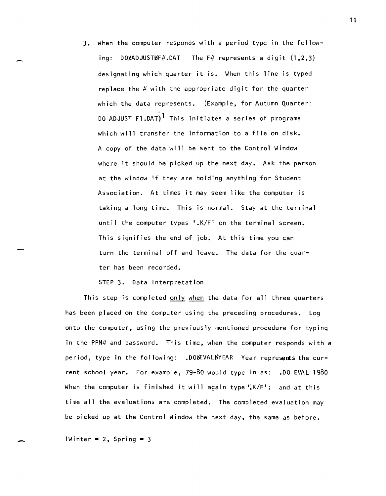3. When the computer responds with a period type in the following: DOBADJUSTBF#.DAT The F# represents a digit  $(1,2,3)$ designating which quarter it is. When this line is typed replace the  $#$  with the appropriate digit for the quarter which the data represents. (Example, for Autumn Quarter: DO ADJUST F1.DAT)<sup>1</sup> This initiates a series of programs which will transfer the information to a file on disk. A copy of the data will be sent to the Control Window where it should be picked up the next day. Ask the person at the window if they are holding anything for Student Association. At times it may seem like the computer is taking a long time. This is normal. Stay at the terminal until the computer types '.K/F' on the terminal screen. This signifies the end of job. At this time you can turn the terminal off and leave. The data for the quarter has been recorded.

STEP 3. Data Interpretation

This step is completed only when the data for all three quarters has been placed on the computer using the preceding procedures. Log onto the computer, using the previously mentioned procedure for typing in the PPN# and password. This time, when the computer responds with a period, type in the following: .DOBEVALBYEAR Year represents the current school year. For example, 79-80 would type in as: .00 EVAL 1980 When the computer is finished it will again type  $\frac{1}{2}K/F'$ ; and at this time all the evaluations are completed. The completed evaluation may be picked up at the Control Window the next day, the same as before.

1Winter =  $2$ , Spring = 3

-

 $\overline{\phantom{0}}$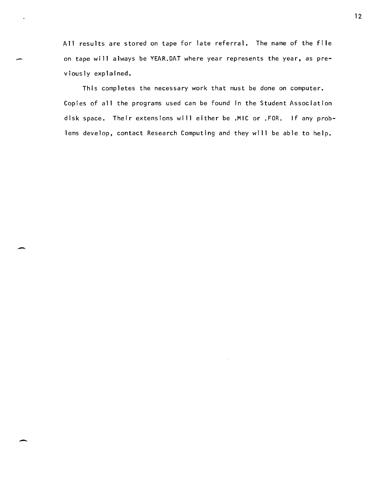All results are stored on tape for late referral. The name of the file on tape will always be YEAR.DAT where year represents the year, as previously explained.

-

-

-

This completes the necessary work that must be done on computer. Copies of all the programs used can be found in the Student Association disk space. Their extensions will either be .MIC or .FOR. If any problems develop, contact Research Computing and they will be able to help.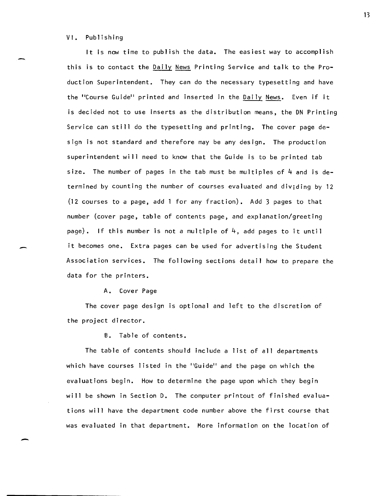#### VI. Publishing

-

-

It is now time to publish the data. The easiest way to accomplish this is to contact the Daily News Printing Service and talk to the Production Superintendent. They can do the necessary typesetting and have the "Course Guide" printed and inserted in the Daily News. Even if it is decided not to use inserts as the distribution means, the DN Printing Service can still do the typesetting and printing. The cover page design is not standard and therefore may be any design. The production superintendent will need to know that the Guide is to be printed tab size. The number of pages in the tab must be multiples of  $4$  and is determined by counting the number of courses evaluated and dividing by 12 (12 courses to a page, add 1 for any fraction). Add 3 pages to that number (cover page, table of contents page, and explanation/greeting page). If this number is not a multiple of  $4$ , add pages to it until it becomes one. Extra pages can be used for advertising the Student Association services. The following sections detail how to prepare the data for the printers.

#### A. Cover Page

The cover page design is optional and left to the discretion of the project director.

B. Table of contents.

The table of contents should include a list of all departments which have courses listed in the "Guide" and the page on which the evaluations begin. How to determine the page upon which they begin will be shown in Section D. The computer printout of finished evaluations will have the department code number above the first course that was evaluated in that department. More information on the location of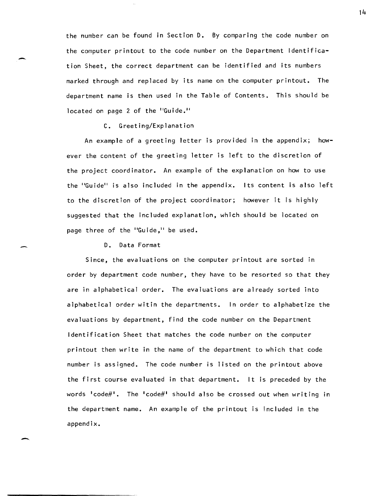the number can be found in Section D. By comparing the code number on the computer printout to the code number on the Department Identification Sheet, the correct department can be identified and its numbers marked through and replaced by its name on the computer printout. The department name is then used in the Table of Contents. This should be located on page 2 of the "Guide."

#### C. Greeting/Explanation

-

-

An example of a greeting letter is provided in the appendix; however the content of the greeting letter is left to the discretion of the project coordinator. An example of the explanation on how to use the "Guide" is also included in the appendix. Its content is also left to the discretion of the project coordinator; however it is highly suggested that the included explanation, which should be located on page three of the "Guide," be used.

D. Data Format

Since, the evaluations on the computer printout are sorted in order by department code number, they have to be resorted so that they are in alphabetical order. The evaluations are already sorted into alphabetical order witin the departments. In order to alphabetize the evaluations by department, find the code number on the Department Identification Sheet that matches the code number on the computer printout then write in the name of the department to which that code number is assigned. The code number is listed on the printout above the first course evaluated in that department. It is preceded by the words 'code#'. The 'code#' should also be crossed out when writing in the department name. An example of the printout is included in the appendix.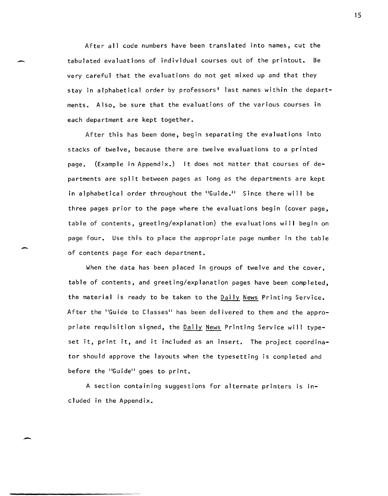After all code numbers have been translated into names, cut the<br>tabulated evaluations of individual courses out of the printout. Be tabulated evaluations of individual courses out of the printout. Be very careful that the evaluations do not get mixed up and that they stay in alphabetical order by professors' last names within the departments. Also, be sure that the evaluations of the various courses in each department are kept together.

> After this has been done, begin separating the evaluations into stacks of twelve, because there are twelve evaluations to a printed page. (Example in Appendix.) It does not matter that courses of departments are split between pages as long as the departments are kept in alphabetical order throughout the "Guide." Since there will be three pages prior to the page where the evaluations begin (cover page, table of contents, greeting/explanation) the evaluations will begin on page four. Use this to place the appropriate page number in the table of contents page for each department.

> When the data has been placed in groups of twelve and the cover, table of contents, and greeting/explanation pages have been completed, the material is ready to be taken to the Daily News Printing Service. After the "Guide to Classes" has been delivered to them and the appropriate requisition signed, the Daily News Printing Service will typeset it, print it, and it included as an insert. The project coordinator should approve the layouts when the typesetting is completed and before the "Guide" goes to print.

A section containing suggestions for alternate printers is included in the Appendix.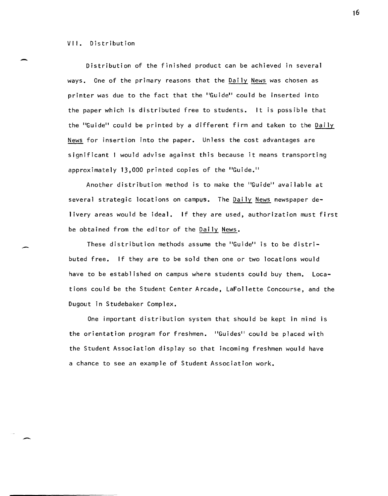#### VII. Distribution

-

-

Distribution of the finished product can be achieved in several ways. One of the primary reasons that the Daily News was chosen as printer was due to the fact that the "Guide" could be inserted into the paper which is distributed free to students. It is possible that the "Guide" could be printed by a different firm and taken to the Daily News for insertion into the paper. Unless the cost advantages are significant I would advise against this because it means transporting approximately 13,000 printed copies of the "Guide."

Another distribution method is to make the "Guide" available at several strategic locations on campus. The  $D$ aily News newspaper delivery areas would be ideal. If they are used, authorization must first be obtained from the editor of the Daily News.

These distribution methods assume the "Guide" is to be distributed free. If they are to be sold then one or two locations would have to be established on campus where students could buy them. Locations could be the Student Center Arcade, LaFollette Concourse, and the Dugout in Studebaker Complex.

One important distribution system that should be kept in mind is the orientation program for freshmen. "Guides" could be placed with the Student Association display so that incoming freshmen would have a chance to see an example of Student Association work.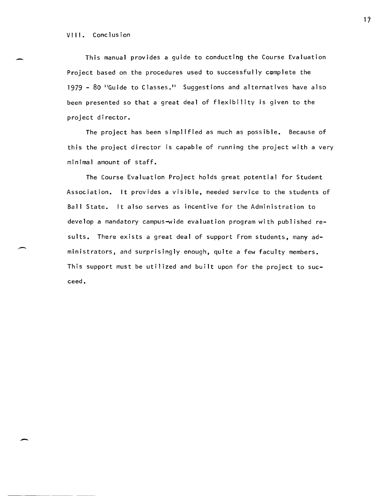-

This manual provides a guide to conducting the Course Evaluation Project based on the procedures used to successfully complete the 1979 - 80 "Guide to Classes." Suggestions and alternatives have also been presented so that a great deal of flexibility is given to the project director.

The project has been simplified as much as possible. Because of this the project director is capable of running the project with a very minimal amount of staff.

The Course Evaluation Project holds great potential for Student Association. It provides a visible, needed service to the students of Ball State. It also serves as incentive for the Administration to develop a mandatory campus-wide evaluation program with published results. There exists a great deal of support from students, many administrators, and surprisingly enough, quite a few faculty members. This support must be utilized and built upon for the project to succeed.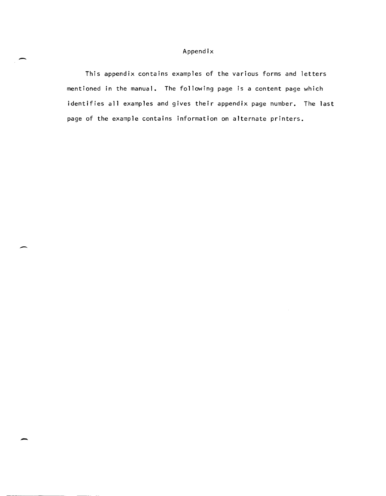#### Appendix

This appendix contains examples of the various forms and letters mentioned in the manual. The following page is a content page which identifies all examples and gives their appendix page number. The last page of the example contains information on alternate printers.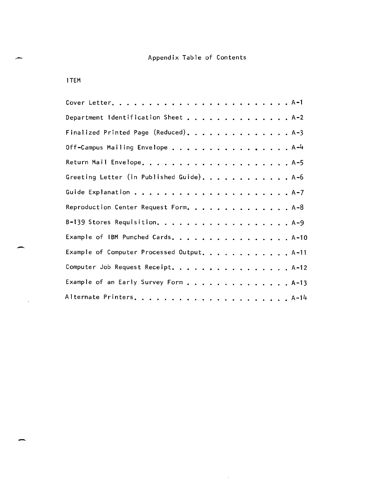# Appendix Table of Contents

ITEM

-

-

 $\sim 10^7$ 

-

| Department Identification Sheet A-2        |
|--------------------------------------------|
| Finalized Printed Page (Reduced). A-3      |
| Off-Campus Mailing Envelope A-4            |
|                                            |
| Greeting Letter (in Published Guide). A-6  |
|                                            |
| Reproduction Center Request Form. A-8      |
| B-139 Stores Requisition. A-9              |
| Example of IBM Punched Cards. A-10         |
| Example of Computer Processed Output. A-11 |
| Computer Job Request Receipt. A-12         |
| Example of an Early Survey Form A-13       |
|                                            |

 $\sim 10^{-10}$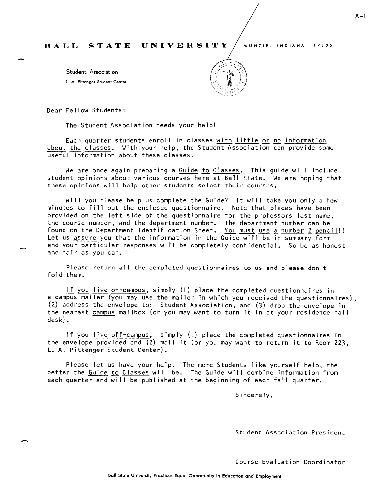Student Association l. A. Pillenger Siudent Center



Dear Fellow Students:

-

The Student Association needs your help!

Each quarter students enroll in classes with I ittle or no information about the classes. With your help, the Student Association can provide some  $\overline{\text{useful}}$  information about these classes.

We are once again preparing a Guide to Classes. This guide will include student opinions about various courses here at Ball State. We are hoping that these opinions will help other students select their courses.

Will you please help us complete the Guide? It will take you only a few minutes to fill out the enclosed questionnaire. Note that places have been provided on the left side of the questionnaire for the professors last name, the course number, and the department number. The department number can be found on the Department Identification Sheet. You must use a number 2 pencil!! Let us assure you that the information in the Guide will be in summary form and your particular responses will be completely confidential. So be as honest and fair as you can.

Please return all the completed questionnaires to us and please don't fold them.

If you live on-campus, simply (1) place the completed questionnaires in a campus mailer (you may use the mailer in which you received the questionnaires), (2) address the envelope to: Student Association, and (3) drop the envelope in the nearest campus mailbox (or you may want to turn it in at your residence hall desk).

if you live off-campus, simply (1) place the completed questionnaires in the envelope provided and (2) mail it (or you may want to return it to Room 223, L. A. Pittenger Student Center).

Please let us have your help. The more Students like yourself help, the better the Guide to Classes will be. The Guide will combine information from each quarter and will be published at the beginning of each fall quarter.

Sincere ly,

Student Association President

Course Evaluation Coordinator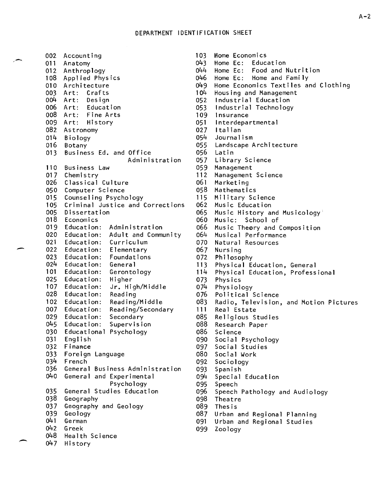| 002   | Accounting                         |
|-------|------------------------------------|
| 011   | Anatomy                            |
| 012   | Anthroplogy                        |
| 108   | Applied Physics                    |
| 010   | Architecture                       |
| 003   | Art: Crafts                        |
|       |                                    |
| 004 - | Art: Design                        |
| 006   | Art: Education                     |
| 008   | Art: Fine Arts                     |
| 009   | Art: History                       |
| 082   | Astronomy                          |
| 014   | <b>Biology</b>                     |
| 016   | Botany                             |
| 013   | Business Ed. and Office            |
|       | Administration                     |
| 110   | <b>Business Law</b>                |
|       |                                    |
| 017   | Chemistry                          |
| 026   | Classical Culture                  |
| 050   | Computer Science                   |
| 015   | Counseling Psychology              |
| 105   | Criminal Justice and Corrections   |
| 005   | Dissertation                       |
| 018 - | Economics                          |
| 019   | Administration<br>Education: I     |
| 020   | Education:<br>Adult and Community  |
| 021   | Education: Curriculum              |
| 022   | Education:<br>Elementary           |
| 023   | Education:<br>Foundations          |
| 024   | Education:<br>General              |
| 101   | Education:<br>Gerontology          |
| 025   | Education:<br>Higher               |
| 107   | Jr. High/Middle<br>Education:      |
| 028   | Education:                         |
|       | Reading                            |
| 102   | Reading/Middle<br>Education:       |
| 007   | Reading/Secondary<br>Education:    |
|       | 029 Education:<br>Secondary        |
| 045   | Supervision<br>Education:          |
| 030   | Educational<br>Psychology          |
| 031   | English                            |
| 032   | Finance                            |
| 033   | Foreign<br>Language                |
| 034   | French                             |
| 036   | Business Administration<br>General |
| 040   | and Experimental<br>General        |
|       | Psychology                         |
|       |                                    |
| 035   | Studies Education<br>General       |
| 038   | Geography                          |
| 037   | Geography and Geology              |
| 039   | Geology                            |
| 041   | German                             |
| 042   | Greek                              |
| 048   | Health Science                     |
| 047   | History                            |

| 103 <sub>1</sub> | Home Economics                           |
|------------------|------------------------------------------|
|                  | 043 Home Ec: Education                   |
| 044 -            | Home Ec: Food and Nutrition              |
| 046 -            | Home Ec: Home and Family                 |
|                  |                                          |
|                  | 049 Home Economics Textiles and Clothing |
| 104              | Housing and Management                   |
|                  | 052 Industrial Education                 |
|                  | 053 Industrial Technology                |
|                  | 109 Insurance                            |
|                  | 051 Interdepartmental                    |
|                  | 027 Italian                              |
| 054 -            | Journalism                               |
|                  | 055 Landscape Architecture               |
|                  | 056 Latin                                |
|                  | 057 Library Science                      |
| 059              | Management                               |
| 112              | Management Science                       |
| 061              | Marketing                                |
| 058              | Mathematics                              |
| 115              | Military Science                         |
| 062              | Music Education                          |
| 065              | Music History and Musicology             |
| 060              | Music: School of                         |
| 066              | Music Theory and Composition             |
| 064              | Musical Performance                      |
| 070              | Natural Resources                        |
| 067              | Nursing                                  |
| 072              | Philosophy                               |
| 113              | Physical Education, General              |
| $114 -$          | Physical Education, Professional         |
| 073              | Physics                                  |
| 074              | Physiology                               |
| 076              | Political Science                        |
| 083 -            | Radio, Television, and Motion Pictures   |
| 111              | Real Estate                              |
| 085              | Religious Studies                        |
| 088              | Research Paper                           |
| 086              | Science                                  |
| 090              | Social Psychology                        |
| 097              | Social Studies                           |
| 080              | Social Work                              |
| 092              | Sociology                                |
| 093              | Spanish                                  |
| 094              | Special Education                        |
| 095              | Speech                                   |
| 096 -            | Speech Pathology and Audiology           |
| 098              | Theatre                                  |
|                  | 089 Thesis                               |
| 087              | Urban and Regional Planning              |

- 091 Urban and Regional Studies<br>099 Zoology
-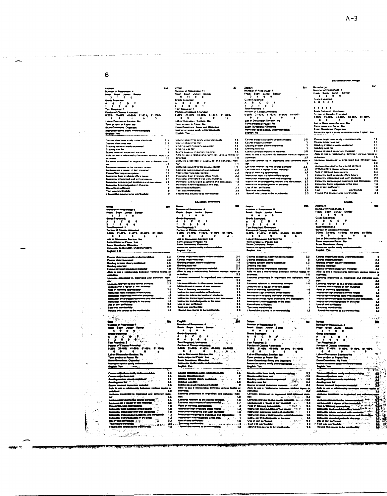6

 $\sim$ 

| .              |                           |                               |                                        |  |
|----------------|---------------------------|-------------------------------|----------------------------------------|--|
|                | Sumber of Responses 4     |                               |                                        |  |
|                |                           | Frash Saph Junuar Senior      |                                        |  |
|                |                           |                               |                                        |  |
| 2              | $\cdots$                  |                               |                                        |  |
|                | Grade Expectant:          |                               |                                        |  |
|                | <b>A &amp; C D</b>        |                               |                                        |  |
|                | .                         |                               |                                        |  |
|                | <b>Test Roquired: 1</b>   |                               |                                        |  |
|                |                           | Portion of Clames Attanded    |                                        |  |
|                |                           |                               | 8-20% 21-40% 41-80% 61-80% 81-100      |  |
|                | .                         |                               | ٥                                      |  |
|                |                           | Lab or Decussion Saction: No. |                                        |  |
|                | Term project or Paper No. |                               |                                        |  |
|                | Exam Questions: Objective |                               |                                        |  |
|                |                           |                               | Instructor Imake easily understandable |  |
| Emailain: Vita |                           |                               |                                        |  |

116

 $\frac{2}{13}$ 

 $\frac{1}{26}$ 

m

 $\mathbf{H}$  .

 $\bar{\mathbf{v}}$  $\sim$ 

Course objectives easily understand  $\begin{array}{c} 2.5 \\ 2.3 \\ 3.5 \end{array}$ Course usercoves exany orner sus<br>Crading system clashy explained<br>Grading system clashy explained<br>Exams covered important materia .<br>aprilent fall liene - トラン 22.3.5 コーランス er an<br>set to the course conte<br>repeat of lest material<br>ig appropriate ----

"<br>ਹੈ Ŧ t Registrad: 1<br>15: 21-40% - Altionated<br>15 - 21-40% - 41-80%<br>17: Discussion Section: 1 er. 7 œ

 $\begin{array}{l} 2.3 \\ 2.3 \\ 2.6 \\ 2.6 \\ 1.8 \\ \end{array}$ ٠Ï i repusa ur.<br>ng approprime:<br>rarmed well with t 

Ŧ

÷,

 $\frac{3}{2}$ 

 $\bar{z}$ 

 $\blacktriangleleft$ 

 $\hat{\gamma}$ 

Ą 

J.

Ý.

**ANGEL** ű 

er of t Lauturas<br>Pasa of In ant o r ان<br>آهي.  $-3/2$ .<br>Watu

<del>- m</del>e<br>no to to werkwalder" and a second theories and  $\sim$  Lynch<br>
Nymber of Responser 11<br>
Frash Soph Junior See<br>
0 11 0 0<br>
Grade Expected<br>
A B C D F<br>
3 2 0 1<br>
2 met 1  $\begin{bmatrix} 1 & 0 \\ 0 & 1 \end{bmatrix}$ **Excriteduard Transfer<br>
Portion of Classes Attended<br>
9-20% 27-40% 41-80% 81-<br>
28 6 70% 27-40% 41-80% 81<br>
Lab or Descration Section: No<br>
Exame Disease y and Objection<br>
Examer Disease y understand<br>
English Yeal (Section Sect** 81-100%<br>11 ijos<br>A

Course objectives easily understal<br>Course objectives easily understal<br>Gourse objectives met<br>Greding was fair<br>Greding was fair<br>Andro see a relationship between<br>activities<br>betwines presented in organized<br>the<br>turnes presented 16<br>16<br>15<br>16<br>16 ٠ř mer<br>Lectures relevant to the course cont 1422225511223 Lectures relevant to the course content<br>declares and a model of met message and relevant of the content<br>hadronic hours in the metric process of the course of the course<br>therefore and the metric of the course of the course

an<br>14

m

 $\mathcal{M}_{\mathcal{O}}$ 

#### to.

Down<br>Humber of Responses 4<br>Freeh - Baptist Justice Seat<br>Grade Supplying<br>Grade Supplying - Daniel - Baptist<br>- Daniel - Daniel - Daniel - Daniel - Daniel - Daniel - Daniel - Daniel - Daniel - Daniel - Daniel - Daniel - D  $\cdot$ ໍ∙໌ ॱ  $\frac{1}{2}$ **B1-100%** −<br>a Secu uction: Yes<br>sr: Ne

 $\begin{array}{c} 2.0 \\ 2.3 \\ 1.4 \\ 2.0 \\ 2.3 \end{array}$ Course objects<br>Grading system<br>Grading was N<br>Exame covered<br>Ablu to see 4<br>activities:<br>Lectures press g system.<br>4 was 4ak - 33<br>- 14 ||2||12||2||12||12||12| ni ko the car milivern to une squeen second<br>not 4 repeat of sext materials<br>serming appropriate:<br>ir interacted with with student<br>ir interacted with with student

`m Captill ة ب  $\overline{\phantom{a}}$  $\frac{1}{2}$ ٠  $\ddot{\cdot}$  $\ddot{\cdot}$ برو<br>9 Lab rve

 $\begin{array}{c}\n\vdots \\
\downarrow \\
\downarrow \\
\downarrow \\
\downarrow \\
\downarrow\n\end{array}$ Bandin<br>Bandin<br>Latin Adam ÷ Lations presented in depotration<br>and the compact of the country of the compact of the compact of the<br>Latiness set a repeat of said methods<br>there for the compact of said methods of the compact of the<br>interaction concerned w 11日は21日は11日 nt to the courte of<br>speet of sext mate i š ų, d nghi Tent was wert untuks:<br>mas to be u.

...

ye<br>ber of Respon<br>i - Boph - Jus<br>i - C<br>- Browled - B<br>- Browled - Browled rumae<br>Freeh<br>C ۰.  $\begin{bmatrix} 1 \\ 1 \\ 0 \end{bmatrix}$  $\cdot$  $\begin{array}{c}\nA1 \\
A111 \\
B212\n\end{array}$   $\begin{array}{c}\nA111 \\
B1211\n\end{array}$   $\begin{array}{c}\nA1011 \\
B110\n\end{array}$   $\begin{array}{c}\n\text{Lub or Disc} \\
\text{Iarm per} \\
\end{array}$ Atlanded<br>41-60%  $-105$ .<br>161.00° **ALCOHOL**  $\begin{tabular}{cc} & $\cdots$ $\sim$ $m$ & 41-60\% & 61\\ \hline 0 & 0 & 0\\ \hline 0 & 0 & 0\\ \hline 1 & 0 & 0\\ \hline 1 & 0 & 0\\ \hline 2 & 0 & 0\\ \hline 3 & 0 & 0\\ \hline 4 & 0 & 0\\ \hline 5 & 0 & 0\\ \hline 6 & 0 & 0\\ \hline 7 & 0 & 0\\ \hline 8 & 0 & 0\\ \hline 9 & 0 & 0\\ \hline 1 & 0 & 0\\ \hline 2 & 0 & 0\\ \hline 3 & 0 & 0\\ \hline 4 &$ 7

المستعد

Course objectives easily us<br>Course objectives met:<br>Grading system clearly exp<br>Grading was fair Grading was<br>Exams cove<br>Able to see<br>activities<br>Lectures pri  $\frac{1}{3}$ 

3,5<br>3<br>3<br>3<br>3<br>3,6

 $\begin{array}{c}\n\bullet \\
\bullet \\
\bullet \\
\bullet \\
\bullet\n\end{array}$ 

ر<br>په

ني ۽ د

Network relaxant to the course contains the state of the first<br>property of the course of the first relaxant of the first property<br>of the state of the course of the course of the first<br>hermonology enters the contained with

Lopez<br>
Number of Responses: 6<br>
Free Sapir Junior Seni<br>
6 6 8 9<br>
Greefe Expositel: 6<br>
6 8 6 9 9<br>
7 an Regularity: Dukasus<br>
Tan Regularity: Dukasus<br>
11409<br>
11409 of Classes Attended<br>21-40% - 41-60%<br>- 0 - 0 Person et<br>0-2016 – 2<br>Labor Dit T т ar Ma  $\mathbf{r}$ 

 $\frac{23}{12}$ <br> $\frac{2}{14}$ Grading system<br>Grading system ٠¥, R

et to the co Lectures vol. a repeat of fast messes.<br>Peca of learning appropriate:<br>Peca of learning appropriate:<br>Metricity in propriate office here:<br>Metricity incorporation of with student<br>linking to couraged questions and .<br>Natricity i .<br>Text wes wer<br>I found this co

Nomber of Responses<br>Frosh - Saph - Junior<br>- G. - G. - G. - G.<br>- Grade Experiment ٠  $\ddot{\cdot}$ ᠮ  $\frac{1}{2}$ .<br>Di

- 6 ... ٠œ English

**NAMES** Gending system<br>Gending was let  $100<$ Gending we<br>Exams can<br>Able to as<br>Activities<br>Lockeres et<br>Lockeres et<br>Lockeres et u, (1) 经分配的 计分析 化乙基 i to the ä Listens not a repose to<br>Listens not a repose of<br>Pace of listens popropi<br>Instructor lags available<br>Instructor encourage we<br>align to listens and repose the Unit<br>Taxt over surfacement:<br>The of such surfaces<br>Theory Share Surfac et of sent بة<br>مون<br>ippropriste:<br>rollabis office is<br>ried well with it a and d

Harshberger<br>Number of Responses: 4<br>Freeh Soph Junior Series<br>- 2 - 2 - 0 - 0 Grade Expected<br>A B C D F

A B C D B<br>Tass Required Unknown<br>Tass Required Unknown<br>D 20% 21-40% 41-40% 41-40%<br>D 20% 21-40% 41-40% 41-40%<br>Lab or Directions: Direction<br>Exam Directions: Direction Section<br>Exam Directions: Direction of the Branchine<br>Branni

Course objectives easily und<br>Course objectives met<br>Grading system clearly explicit<br>Grading with far:<br>Exems covered important m<br>Activities<br>Activities<br>Lectures presented in orige<br>Lectures presented in orige  $2023$ <br> $233$ <br> $23$ <br> $16$ Next<br>star relevant to the course constants and the course of the latter and<br>star star in a space of text metallicity and the course of the boundary<br>determined with the course of the constant of the course of text set<br>from .<br>Lectures rais<br>Lectures not  $\lambda$ 

Adoma,ft<br>Humber of Respo<br>Frash – Saph – J<br>Grade Expected:<br>Grade Expected: unaan<br>| Juniar<br>| 9  $\ddot{\cdot}$  $\sqrt{\frac{1}{2}}$ Ţ  $21 - 60$ %  $\bullet$ 

œ

**ARANGER** system<br>was fig Able to see a **Example:**<br>
Leatures relevant<br>
Leatures relevant<br>
Pace of learning<br>
Instructor interior<br>
Instructor encour<br>
Use of text another<br>
Text was worthw<br>
I lound this court<br>
I lound this court propriate:<br>Rabie office hou<br>Id well with stud

 $\mathbf{r}_0$ .<br>سومبر مين<br>په aria.  $rac{1}{t}$  $\tilde{\mathbf{S}}$  is a ğ. ę. أيس

| 鶴村 村村 **Ensuranced E** Lockings Hotel<br>Cockings has<br>Paul of Norma<br>Instructor while<br>Instructor while<br>Uge of histographs<br>Tout was won net a m **IT of text me** i<br>Samara<br>Samara ţ ل سال 1945 مئي وي.<br>منابع

j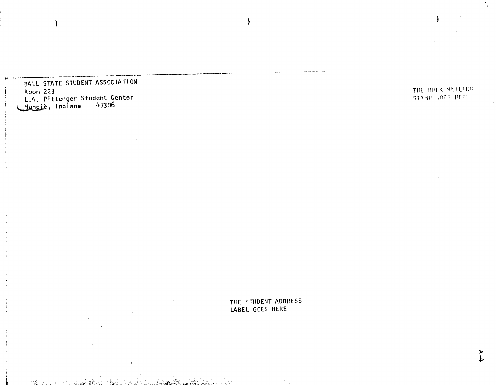BALL STATE STUDENT ASSOCIATION Room 223<br>L.A. Pittenger Student Center<br>Muncie, Indiana 47306

THE BULK MATEING STAMP GOES HERE

THE STUDENT ADDRESS LABEL GOES HERE

 $\overline{r}$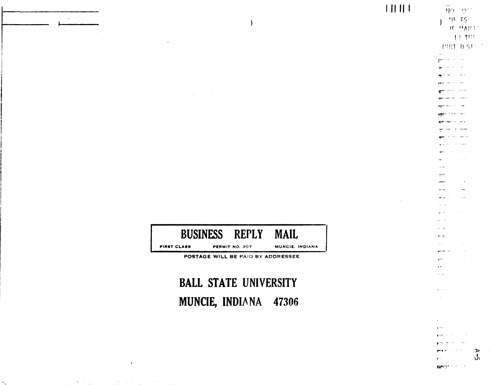**BUSINESS REPLY MAIL FIRST CLASS** PERMIT NO. 307 **MUNCIE, INDIANA** POSTAGE WILL BE PAID BY ADDRESSEE

 $\overline{\phantom{a}}$ 

# **BALL STATE UNIVERSITY** MUNCIE, INDIANA 47306

 $\begin{array}{c} \textcolor{red}{\textbf{||} \textbf{||} \textbf{||} } \end{array}$ 

 $\mathbf{v} = \mathbf{v} \cdot \mathbf{w}$  and

 $\mathbf{A}$ 

NO OPT **NE ES** 

**Bischer Steinung** معادات المتعاون **SECOND CONTRACT Parameter Section Company SECTION AND STATE Alexander and Company** rgen material comp **STEP STORY SALE SALES AND AN INCOME.**  $\cos\phi=-\sin\phi$  requires A sylven assistant **Contractor** 

government

 $-$ 

a en سيب  $27\%$ **Service** 

 $\sim$   $\sim$ 

 $\sim$   $\sim$ 

and an

....

 $1 + 1$ . . . مادي

 $\omega$  .  $\omega$ 

 $\sim$   $\sim$ 

 $\alpha$  and  $\alpha$ 

 $\Delta\sim 0.5$ 

.<br>Herec  $\sim$ 

 $\chi = \chi_0 \to$ 

 $\mathcal{A}$ 

**IF MAPIC** TTTH **UNIONSTAN** 

 $\mathcal{L}^{(1,2)}$ is the st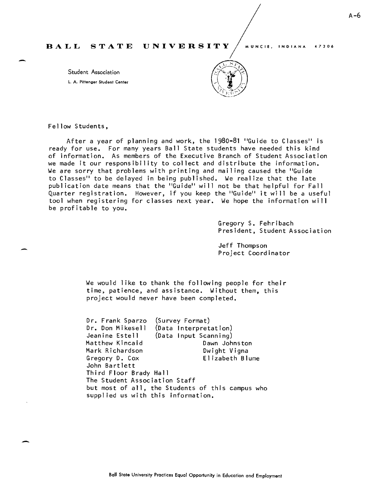Student Association L. A. Pittenger Student Center



Fellow Students,

-

After a year of planning and work, the 1980-81 "Guide to Classes" is ready for use. For many years Ball State students have needed this kind of information. As members of the Executive Branch of Student Association we made it our responsibility to collect and distribute the information. We are sorry that problems with printing and mailing caused the "Guide to Classes" to be delayed in being published. We real ize that the late publication date means that the "Guide" will not be that helpful for Fall Quarter registration. However, if you keep the "Guide" it will be a useful tool when registering for classes next year. We hope the information will be profitable to you.

> Gregory S. Fehribach President, Student Association

Jeff Thompson Project Coordinator

We would like to thank the following people for their time, patience, and assistance. Without them, this project would never have been completed.

Dr. Frank Sparzo Dr. Don Mikesell Jeanine Estell Matthew Kincaid Mark Richardson Gregory D. Cox John Bartlett (Survey Format) (Data Interpretation) (Data Input Scanning) Dawn Johnston Dwight Vigna El izabeth Blume Third Floor Brady Hall The Student Association Staff but most of all, the Students of this campus who supplied us with this information.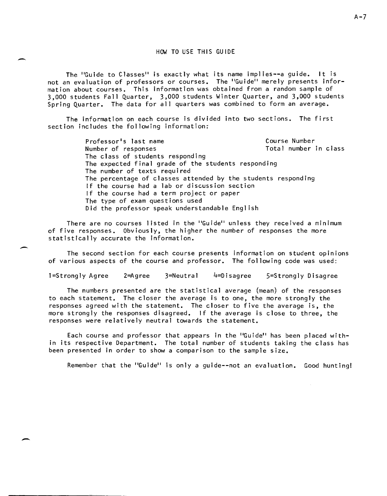#### HOW TO USE THIS GUIDE

-

-

-

The "Guide to Classes" is exactly what its name implies--a guide. It is not an evaluation of professors or courses. The "Guide" merely presents information about courses. This information was obtained from a random sample of 3,000 students Fall Quarter, 3,000 students Winter Quarter, and 3,000 students Spring Quarter. The data for all quarters was combined to form an average.

The information on each course is divided into two sections. The first section includes the following information:

> Professor's last name Number of responses Course Number Total number in class The class of students responding The expected final grade of the students responding The number of texts required The percentage of classes attended by the students responding If the course had a lab or discussion section If the course had a term project or paper The type of exam questions used Did the professor speak understandable English

There are no courses listed in the "Guide" unless they received a minimum of five responses. Obviously, the higher the number of responses the more statistically accurate the information.

The second section for each course presents information on student opinions of various aspects of the course and professor. The following code was used:

1=Strongly Agree 2=Agree 3=Neutral 4=Disagree 5=Strongly Disagree

The numbers presented are the statistical average (mean) of the responses to each statement. The closer the average is to one, the more strongly the responses agreed with the statement. The closer to five the average is, the more strongly the responses disagreed. If the average is close to three, the responses were relatively neutral towards the statement.

Each course and professor that appears in the "Guide" has been placed within its respective Department. The total number of students taking the class has been presented in order to show a comparison to the sample size.

Remember that the "Guide" is only a guide--not an evaluation. Good hunting!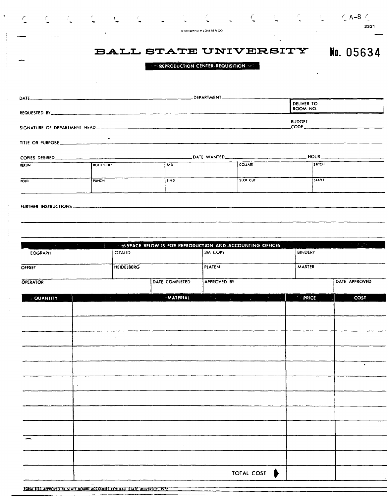| a a Gali<br>$\epsilon$<br>$\mathcal{L}$                                                                              | $\bullet$         | <b>T</b>          |                                                               | STANDARD REGISTER CO. |                                                  |                           | $6.4-8.6$<br>2321           |
|----------------------------------------------------------------------------------------------------------------------|-------------------|-------------------|---------------------------------------------------------------|-----------------------|--------------------------------------------------|---------------------------|-----------------------------|
| $\sim$ $\sim$ $\sim$                                                                                                 |                   |                   | <b>EXPREDICTION CENTER-REQUISITION SECTION CONTROL</b>        |                       | <b>BALL STATE UNIVERSITY</b>                     |                           | No. 05634                   |
|                                                                                                                      |                   |                   |                                                               |                       |                                                  | DELIVER TO                |                             |
| <b>REQUESTED BY</b>                                                                                                  |                   |                   |                                                               |                       |                                                  | ROOM NO.<br><b>BUDGET</b> |                             |
|                                                                                                                      |                   |                   |                                                               |                       |                                                  |                           |                             |
|                                                                                                                      |                   |                   |                                                               |                       |                                                  |                           |                             |
| RERUN                                                                                                                | <b>BOTH SIDES</b> |                   | PAD                                                           |                       | COLLATE                                          |                           | <b>STITCH</b>               |
| <b>FOLD</b>                                                                                                          | <b>PUNCH</b>      |                   | <b>BIND</b>                                                   |                       | $\overline{\text{S}1}$ or $\overline{\text{C}1}$ |                           | STAPLE                      |
|                                                                                                                      |                   |                   |                                                               |                       |                                                  |                           |                             |
|                                                                                                                      |                   |                   |                                                               |                       |                                                  |                           |                             |
|                                                                                                                      |                   |                   |                                                               |                       |                                                  |                           |                             |
| <u> Tanzania de la contrada de la contrada de la contrada de la contrada de la contrada de la contrada de la con</u> |                   |                   | <b>SPACE BELOW IS FOR REPRODUCTION AND ACCOUNTING OFFICES</b> |                       |                                                  |                           | $\mathbb{R}^{n \times d}$ : |
| <b>EOGRAPH</b>                                                                                                       |                   | <b>OZALID</b>     |                                                               | <b>3M COPY</b>        |                                                  | <b>BINDERY</b>            |                             |
| OFFSET                                                                                                               |                   | <b>HEIDELBERG</b> |                                                               | <b>PLATEN</b>         |                                                  | <b>MASTER</b>             |                             |
| OPERATOR                                                                                                             |                   |                   | DATE COMPLETED                                                | <b>APPROVED BY</b>    |                                                  |                           | DATE APPROVED               |
| <b>QUANTITY</b>                                                                                                      |                   |                   | <b>MATERIAL</b>                                               | <b>Marine</b>         | 54<br><b>All Contractor</b><br>$\mathcal{L}$     | <b><i>SPRICE</i></b>      | <b>COST</b>                 |
|                                                                                                                      |                   |                   |                                                               |                       |                                                  |                           |                             |
|                                                                                                                      |                   |                   |                                                               |                       |                                                  |                           |                             |
|                                                                                                                      |                   |                   |                                                               |                       |                                                  |                           |                             |
|                                                                                                                      |                   |                   |                                                               |                       |                                                  |                           | ٠                           |
|                                                                                                                      |                   |                   |                                                               |                       |                                                  |                           |                             |
|                                                                                                                      | $\bullet$         |                   |                                                               |                       |                                                  |                           |                             |
|                                                                                                                      |                   |                   |                                                               |                       |                                                  |                           |                             |
|                                                                                                                      |                   |                   |                                                               |                       |                                                  |                           |                             |
|                                                                                                                      |                   |                   |                                                               |                       |                                                  |                           |                             |
|                                                                                                                      |                   |                   |                                                               |                       |                                                  |                           |                             |
|                                                                                                                      |                   |                   |                                                               |                       |                                                  |                           |                             |
|                                                                                                                      |                   |                   |                                                               |                       | TOTAL COST<br>₿                                  |                           |                             |
| FORM 1-23 APPROVED BY STATE BOARD ACCOUNTS FOR BALL STATE UNIVERSITY, 1972                                           |                   |                   |                                                               |                       |                                                  |                           |                             |

 $\label{eq:1} \begin{split} \mathcal{L}_{\text{max}}(\mathcal{L}_{\text{max}},\mathcal{L}_{\text{max}}) = \mathcal{L}_{\text{max}}(\mathcal{L}_{\text{max}}) \times \mathcal{L}_{\text{max}}(\mathcal{L}_{\text{max}}) \times \mathcal{L}_{\text{max}}(\mathcal{L}_{\text{max}}) \times \mathcal{L}_{\text{max}}(\mathcal{L}_{\text{max}}) \times \mathcal{L}_{\text{max}}(\mathcal{L}_{\text{max}}) \times \mathcal{L}_{\text{max}}(\mathcal{L}_{\text{max}}) \times \mathcal{L}_{\text{max}}(\mathcal{L}_{\text{max}})$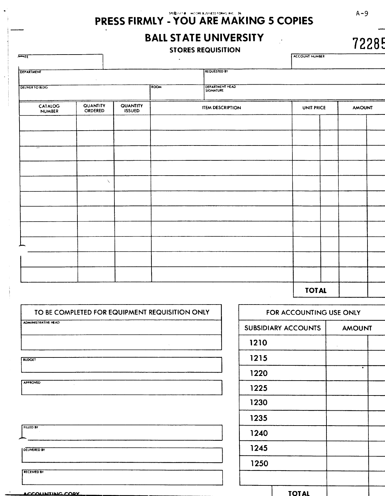# PRESS FIRMLY - YOU ARE MAKING 5 COPIES

**BALL STATE UNIVERSITY** 

# **STORES REQUISITION**

ACCOUNT NUMBER

| $\cdot$ .                                                                           |               |  | $\bullet$               |                     | .<br>$   -$   |  |
|-------------------------------------------------------------------------------------|---------------|--|-------------------------|---------------------|---------------|--|
| DEPARTMENT                                                                          | $\Delta$      |  |                         | <b>REQUESTED BY</b> |               |  |
| DELIVER TO BLDG.                                                                    |               |  | ROOM                    | DEPARTMENT HEAD     |               |  |
| QUANTITY<br><b>QUANTITY</b><br>CATALOG<br>NUMBER<br><b>ORDERED</b><br><b>ISSUED</b> |               |  | <b>ITEM DESCRIPTION</b> | UNIT PRICE          | <b>AMOUNT</b> |  |
|                                                                                     |               |  |                         |                     |               |  |
|                                                                                     |               |  |                         |                     |               |  |
| $\overline{\phantom{a}}$                                                            |               |  |                         |                     |               |  |
|                                                                                     |               |  |                         |                     |               |  |
|                                                                                     | $\mathcal{L}$ |  |                         |                     |               |  |
|                                                                                     |               |  |                         |                     |               |  |
|                                                                                     |               |  |                         |                     |               |  |
|                                                                                     |               |  |                         |                     |               |  |
|                                                                                     |               |  |                         |                     |               |  |
|                                                                                     |               |  |                         |                     |               |  |
|                                                                                     |               |  |                         |                     |               |  |
|                                                                                     |               |  |                         |                     | <b>TOTAL</b>  |  |

| TO BE COMPLETED FOR EQUIPMENT REQUISITION ONLY |
|------------------------------------------------|
| <b>ADMINISTRATIVE HEAD</b>                     |
|                                                |
| $\lambda$                                      |
| <b>BUDGET</b>                                  |
|                                                |
| <b>APPROVED</b><br>$\tilde{a}$                 |
|                                                |
|                                                |
| <b>FILLED BY</b>                               |
|                                                |
| <b>DELIVERED BY</b>                            |
|                                                |
| <b>RECEIVED BY</b>                             |
|                                                |

ACCOUNTING CORY

| FOR ACCOUNTING USE ONLY    |              |               |  |  |  |  |
|----------------------------|--------------|---------------|--|--|--|--|
| <b>SUBSIDIARY ACCOUNTS</b> |              | <b>AMOUNT</b> |  |  |  |  |
| 1210                       |              |               |  |  |  |  |
| 1215                       |              |               |  |  |  |  |
| 1220                       |              |               |  |  |  |  |
| 1225                       |              |               |  |  |  |  |
| 1230                       |              |               |  |  |  |  |
| 1235                       |              |               |  |  |  |  |
| 1240                       |              |               |  |  |  |  |
| 1245                       |              |               |  |  |  |  |
| 1250                       |              |               |  |  |  |  |
|                            |              |               |  |  |  |  |
|                            | <u>TOTAL</u> |               |  |  |  |  |

 $A - 9$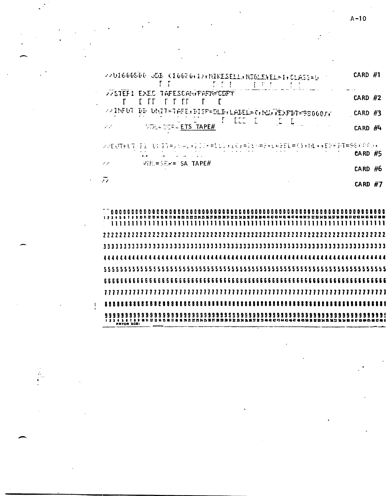$A-10$ 

| WASTER 1 EXEC TAPESCAN PARTECOPY<br>CARD $#2$<br>T.<br>ГΓ<br>2215FUT<br>DD UNIT-TAFE.DISP-DLD:LABEL=C:NU.TEXPDT=9800077<br><b>CARD #3</b><br><b>I</b> LEE L<br>$\mathbb{Z}$ , $\mathbb{Z}$ , $\mathbb{Z}$<br><b>NEDLA SERIA ETS TAPE#</b><br>سيرسم<br>CARD $#4$<br>Pi Upij=stel+1IP=[Llaid=lt@=SalfEL=(1aMlaaEYFI4=58000)a<br>22日時日午<br>$EARD$ #5<br>WILESER= SA TAPE#<br>19<br><b>CARD #6</b><br>$\bar{\nu}$<br>CARD $#7$<br>. | 2201600500 ODB (10070)1); WIKESELL, WS6LENEL=1, CLASS=0 =<br>E E I<br>一、 下天子<br>$\mathbf{I}$<br>$\sim 1.1$ | $CARD$ $#1$ |  |  |
|---------------------------------------------------------------------------------------------------------------------------------------------------------------------------------------------------------------------------------------------------------------------------------------------------------------------------------------------------------------------------------------------------------------------------------|------------------------------------------------------------------------------------------------------------|-------------|--|--|
|                                                                                                                                                                                                                                                                                                                                                                                                                                 |                                                                                                            |             |  |  |
|                                                                                                                                                                                                                                                                                                                                                                                                                                 |                                                                                                            |             |  |  |
|                                                                                                                                                                                                                                                                                                                                                                                                                                 |                                                                                                            |             |  |  |
|                                                                                                                                                                                                                                                                                                                                                                                                                                 |                                                                                                            |             |  |  |
|                                                                                                                                                                                                                                                                                                                                                                                                                                 |                                                                                                            |             |  |  |
|                                                                                                                                                                                                                                                                                                                                                                                                                                 |                                                                                                            |             |  |  |
|                                                                                                                                                                                                                                                                                                                                                                                                                                 |                                                                                                            |             |  |  |
|                                                                                                                                                                                                                                                                                                                                                                                                                                 |                                                                                                            |             |  |  |
|                                                                                                                                                                                                                                                                                                                                                                                                                                 |                                                                                                            |             |  |  |
|                                                                                                                                                                                                                                                                                                                                                                                                                                 |                                                                                                            |             |  |  |
|                                                                                                                                                                                                                                                                                                                                                                                                                                 |                                                                                                            |             |  |  |

 $\mathbb{R}^2$ 

 $\mathbf{I}$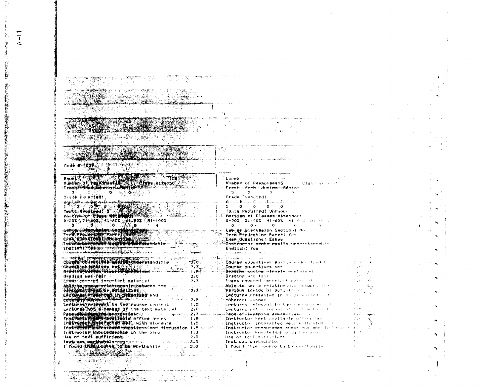| code <i>a 1621 : 15 a 303 : 2</i>                                                                                                                                                                                                                                                                              |                                                                                                                                                                                                                                                                                                                                          |                             |  |
|----------------------------------------------------------------------------------------------------------------------------------------------------------------------------------------------------------------------------------------------------------------------------------------------------------------|------------------------------------------------------------------------------------------------------------------------------------------------------------------------------------------------------------------------------------------------------------------------------------------------------------------------------------------|-----------------------------|--|
|                                                                                                                                                                                                                                                                                                                |                                                                                                                                                                                                                                                                                                                                          |                             |  |
|                                                                                                                                                                                                                                                                                                                | <b>Contractor</b><br>LOPEZ                                                                                                                                                                                                                                                                                                               |                             |  |
| Daunty of resented Articles attendo.                                                                                                                                                                                                                                                                           | Number of Responses:5 . Class size: .?                                                                                                                                                                                                                                                                                                   |                             |  |
| Freshingson Edwin or Dent of ATHE DELL TO<br>道: 上下的 ◎ mal ◎ million                                                                                                                                                                                                                                            | Fresh- Soeh - duniter-Senior<br>$\overline{5}$ 0 0 0                                                                                                                                                                                                                                                                                     |                             |  |
| Crade Expected:                                                                                                                                                                                                                                                                                                | Grade Expected:                                                                                                                                                                                                                                                                                                                          |                             |  |
| بالمساول والمستقل والمستقل والمستقل والمستقل والمستقلة                                                                                                                                                                                                                                                         | $\mathbf{A}$ and $\mathbf{B}$ and $\mathbf{C}$ are as $\mathbf{B}$ and $\mathbf{F}$ are an analytical problems.                                                                                                                                                                                                                          |                             |  |
| <u> Alara (Alara Alara Alara Alara Alara Alara Alara Alara Alara Alara Alara Alara Alara Alara Alara Alara Alara </u>                                                                                                                                                                                          | $5 \t 0 \t 0 \t 0 \t 0$<br>Texts Reduired: Unknown                                                                                                                                                                                                                                                                                       |                             |  |
| Texts Readined!   2002 Contracts                                                                                                                                                                                                                                                                               | Portion of Classes Attendant:                                                                                                                                                                                                                                                                                                            |                             |  |
| $0-202 + 21 - 402$<br>$0$<br>$0$<br>$0$<br>$0$<br>$0$<br>$0$<br>$0$                                                                                                                                                                                                                                            | 0-20% 21-40% 41-60% 61 00% BL IF 3<br>$0 \leq C \leq 0$ , $0 \leq C \leq C$ , $0 \leq C$ , $0 \leq C$ , $0 \leq C$ , $0 \leq C$ , $0 \leq C$ , $0 \leq C$ , $0 \leq C$ , $0 \leq C$ , $0 \leq C$ , $0 \leq C$ , $0 \leq C$ , $0 \leq C$ , $0 \leq C$ , $0 \leq C$ , $0 \leq C$ , $0 \leq C$ , $0 \leq C$ , $0 \leq C$ , $0 \leq C$ , $0$ |                             |  |
|                                                                                                                                                                                                                                                                                                                | Lab-ar-Biscussion Section! No                                                                                                                                                                                                                                                                                                            |                             |  |
| Labor Discription Section (2007)<br>Term Production Part I Not Line<br>EAST ONE CONTAINMENT TO STATE TO THE                                                                                                                                                                                                    | Term Project or Parent Yes<br>Exam Questions: Essay                                                                                                                                                                                                                                                                                      |                             |  |
| The University of The The University                                                                                                                                                                                                                                                                           | Zhatřuctor-apoka-postan-nodentandal a                                                                                                                                                                                                                                                                                                    |                             |  |
| ENTERFTER THE TANK HERE IT THE TABLE                                                                                                                                                                                                                                                                           | Endlish! Yes<br>.<br>Ann ann ann ann an 1944 an 1956, ann an 1956, ann an 1957 an 1958. An 1959, an 1950 an 1950 an 1950. An 1951                                                                                                                                                                                                        |                             |  |
|                                                                                                                                                                                                                                                                                                                |                                                                                                                                                                                                                                                                                                                                          |                             |  |
| Course doubetives and includeratandable                                                                                                                                                                                                                                                                        | Course objectives easily make clandatic<br>$7.0-$                                                                                                                                                                                                                                                                                        |                             |  |
| Course countries as the first state of the state of the state of the state of the state of the state of the state of the state of the state of the state of the state of the state of the state of the state of the state of t                                                                                 | 7.3<br>Course objectives met<br>1.8<br><b>Deading custom cloorly purisingly</b>                                                                                                                                                                                                                                                          | $1 + 1$                     |  |
| 그림 가는 눈<br>Grading was fair for the                                                                                                                                                                                                                                                                            | 2.0<br>Grading was fair                                                                                                                                                                                                                                                                                                                  | $\mathbf{1}$ , $\mathbf{6}$ |  |
| twams covered important material                                                                                                                                                                                                                                                                               | Exams obvered important eacons it<br>2.3                                                                                                                                                                                                                                                                                                 | $1 - 12$                    |  |
| Abidito and untelettonship between the<br>Which it the Mor, with the the community of the community of the community of the community of the community of                                                                                                                                                      | Able to pay a relationship includes the<br>ź. 3<br>várious tonics or activities                                                                                                                                                                                                                                                          |                             |  |
| Lectures Freemond In organized and                                                                                                                                                                                                                                                                             | Lectures presented in an orderation of                                                                                                                                                                                                                                                                                                   |                             |  |
| Lectures relevent to the rounse content                                                                                                                                                                                                                                                                        | 7.5<br>coherent sennes<br>1.5<br>tectures relevant to the contactoral out                                                                                                                                                                                                                                                                | $\pm$ .                     |  |
| Lectures hot a reveat of the text material                                                                                                                                                                                                                                                                     | 2.8<br>Lectures ant a serest of this with a li-                                                                                                                                                                                                                                                                                          | $\pm$ . $\sim$              |  |
| <b>STALES AND THE REPORT OF THE REAL PROPERTY OF A STATE OF A STATE OF A STATE OF A STATE OF A STATE OF A STATE OF</b><br>Institution and it will be office hours                                                                                                                                              | ~ <del>~Pace~of~}w#ተነሳብ arrecr</del> tini~<br>$-1.8$                                                                                                                                                                                                                                                                                     | $1 + 1$                     |  |
| Individual interacted well with students                                                                                                                                                                                                                                                                       | Instructor heat available office lines.<br>1.5<br>. Instructor interacted well with studence                                                                                                                                                                                                                                             | $\pm$                       |  |
|                                                                                                                                                                                                                                                                                                                | 本 <del>在以外的大陆的大陆的人的情况,我们的人们的人们</del> 在这个世界的一个人的人们的人们,我们的人们的人们的人们,而且在这个世界的一个人的人们的人们的人们的人们,而且在这个人们的人们,而且在这个人们的人们,                                                                                                                                                                                                                          |                             |  |
| Instructor knowledgeable in the area [13]<br>Han of text sufficients in the                                                                                                                                                                                                                                    | s Instructor knowledgable in the esse<br>7.8<br>Use of text sufficient                                                                                                                                                                                                                                                                   | $1 - 1$<br>$\mathcal{A}$ .  |  |
|                                                                                                                                                                                                                                                                                                                | <b>Τονίο υσο. Μαρλίτισα στην π</b> ουσική της κατάστησης της προσωπικής του του του του Τονίο, μας μιστέλιμες έφω του του                                                                                                                                                                                                                |                             |  |
| $\frac{1}{20}$ found $\frac{1}{20}$ $\frac{1}{20}$ $\frac{1}{20}$ $\frac{1}{20}$ $\frac{1}{20}$ $\frac{1}{20}$ $\frac{1}{20}$ $\frac{1}{20}$ $\frac{1}{20}$ $\frac{1}{20}$ $\frac{1}{20}$ $\frac{1}{20}$ $\frac{1}{20}$ $\frac{1}{20}$ $\frac{1}{20}$ $\frac{1}{20}$ $\frac{1}{20}$ $\frac{1}{20}$ $\frac{1}{$ | 1. I found this course to be war hubile<br>and the company of the company                                                                                                                                                                                                                                                                |                             |  |
|                                                                                                                                                                                                                                                                                                                |                                                                                                                                                                                                                                                                                                                                          | alan an ann                 |  |
| sé la Pilla                                                                                                                                                                                                                                                                                                    |                                                                                                                                                                                                                                                                                                                                          |                             |  |
|                                                                                                                                                                                                                                                                                                                |                                                                                                                                                                                                                                                                                                                                          |                             |  |

 $\bar{\bullet}$ 

<u> Terministor e antico</u>

 $A-11$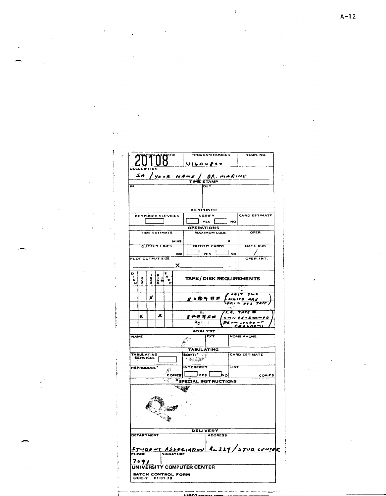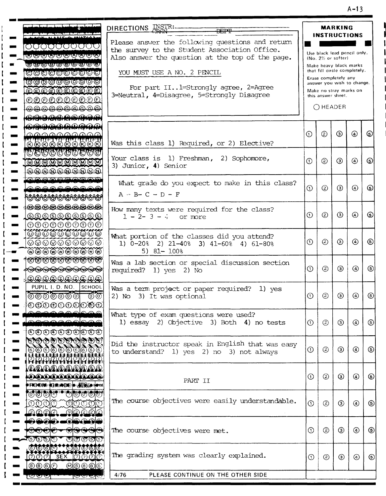A-13

| <u>a Tan ban ban an an A</u>                                                                      |                                                                                                   |            |                                                      | <b>MARKING</b> |                |             |
|---------------------------------------------------------------------------------------------------|---------------------------------------------------------------------------------------------------|------------|------------------------------------------------------|----------------|----------------|-------------|
| كالمحاصل يصبره                                                                                    | DIRECTIONS INSTRI-<br><b>DEPT</b>                                                                 |            | <b>INSTRUCTIONS</b>                                  |                |                |             |
| 0000000000                                                                                        | Please answer the following questions and return<br>the survey to the Student Association Office. |            |                                                      |                |                |             |
| <b>©©©©©©©©</b> ©                                                                                 | Also answer the question at the top of the page.                                                  |            | Use black lead pencil only.<br>(No. 2% or softer)    |                |                |             |
| @@@@@@@@@                                                                                         |                                                                                                   |            | Make heavy black marks                               |                |                |             |
| <b>OOOOOOOOOO</b>                                                                                 | YOU MUST USE A NO. 2 PENCIL                                                                       |            | that fill circle completely.<br>Erase completely any |                |                |             |
| <b>0000000000</b>                                                                                 |                                                                                                   |            | answer you wish to change.                           |                |                |             |
| <b>AAAAAAAAA</b>                                                                                  | For part II l=Strongly agree, 2=Agree                                                             |            | Make no stray marks on                               |                |                |             |
| QQQQQQQQQ                                                                                         | 3=Neutral, 4=Disagree, 5=Strongly Disagree                                                        |            | this answer sheet.                                   |                |                |             |
| @@@@@@@@@@                                                                                        |                                                                                                   |            | ○ HEADER                                             |                |                |             |
| <del>®®®®®®®®®®</del>                                                                             |                                                                                                   |            |                                                      |                |                |             |
| <del>©©©©©™©©©©©</del>                                                                            |                                                                                                   |            |                                                      |                |                |             |
| ൶൶൶൶൶൶൶                                                                                           |                                                                                                   | $\odot$    | ☺                                                    | ⊕              | ◉              | 6           |
| <b>BBBBBBBBBB</b>                                                                                 | Was this class 1) Required, or 2) Elective?                                                       |            |                                                      |                |                |             |
| <b>PROPADA DA D</b>                                                                               |                                                                                                   |            |                                                      |                |                |             |
| <u> www.www.www</u>                                                                               | Your class is 1) Freshman, 2) Sophomore,                                                          | $\odot$    | ②                                                    | ☉              | $\circledcirc$ | ⊙           |
| @@@@@@@@@@                                                                                        | 3) Junior, 4) Senior                                                                              |            |                                                      |                |                |             |
| AAAAAAAAAAA                                                                                       |                                                                                                   |            |                                                      |                |                |             |
| <u>aaaaaaaaaa</u>                                                                                 | What grade do you expect to make in this class?                                                   | $\Omega$   | ②                                                    | ☺              | ᠗              | ك           |
|                                                                                                   | $A - B - C - D - F$                                                                               |            |                                                      |                |                |             |
| ®®®®®®®®®®                                                                                        |                                                                                                   |            |                                                      |                |                |             |
| <b>ORDOROOOORD</b>                                                                                | How many texts were required for the class?                                                       |            |                                                      |                |                |             |
| <u> 666666666</u>                                                                                 | $1 - 2 - 3 - 4$<br>or more                                                                        | $\odot$    | (2)                                                  | ⊙              | ⊛              | ⊕           |
| $\begin{array}{c} \circledcirc \circledcirc \circledcirc \circledcirc \circledcirc \end{array}$   |                                                                                                   |            |                                                      |                |                |             |
|                                                                                                   | What portion of the classes did you attend?                                                       |            |                                                      |                |                |             |
| ©©©©©©©©©                                                                                         | 1) $0-20$ <sup>2</sup> 2) $21-40$ <sup>2</sup> 3) $41-60$ <sup>2</sup> 4) $61-80$ <sup>2</sup>    | $\odot$    | (2)                                                  | ⊚              | $\circledcirc$ | ⑤           |
| <u>vovovovovov</u>                                                                                | $5)$ 81- 100%                                                                                     |            |                                                      |                |                |             |
| <b>EEEEEEEEEE</b>                                                                                 | Was a lab section or special discussion section                                                   |            |                                                      |                |                |             |
| <b>RARA ARABA ARABA ARABA</b>                                                                     | required? 1) yes 2) No                                                                            | $\odot$    | $\circled{2}$                                        | ☺              | ◉              | ම           |
| Q, Q, Q, Q, Q, Q, Q, Q, Q, Q                                                                      |                                                                                                   |            |                                                      |                |                |             |
| PUPIL I. D. NO. SCHOOL                                                                            | Was a term project or paper required? 1) yes                                                      |            |                                                      |                |                |             |
| ಕಾಂ<br><u>ಠಾಂಠಿಠಾಂಠಿ</u>                                                                          | 2) No 3) It was optional                                                                          | $_{\odot}$ | $^{\circledR}$                                       | ☺              | ⊕              | ⑤           |
| $\textcircled{0} \textcircled{0} \textcircled{0} \textcircled{0} \textcircled{0} \textcircled{1}$ |                                                                                                   |            |                                                      |                |                |             |
| <u>saaalaas</u>                                                                                   | What type of exam questions were used?                                                            |            |                                                      |                |                |             |
| 2000000000                                                                                        | 1) essay 2) Objective 3) Both 4) no tests                                                         | $\odot$    | $\circled{2}$                                        | ☺              | $\circledcirc$ | ⊛           |
| <del>OOOOOO©©©</del>                                                                              |                                                                                                   |            |                                                      |                |                |             |
|                                                                                                   |                                                                                                   |            |                                                      |                |                |             |
| 0000000000                                                                                        | Did the instructor speak in English that was easy                                                 | $\odot$    | ②                                                    | ◉              | $\circledcirc$ | ⊛           |
| A ANG PANGANAN ANG PANGANAN<br>Panggalan nang pangang panganan                                    | to understand? 1) yes 2) no 3) not always                                                         |            |                                                      |                |                |             |
| ֎֎֎֎֎֎֎֎֎                                                                                         |                                                                                                   |            |                                                      |                |                |             |
| <b>OOOOOOOOOOO</b>                                                                                |                                                                                                   | ⋒          | ②                                                    | ك              | ⊕              | ⊚           |
| <b>₱₣₠₯₯₦</b> ₼₡₿₡₼₱₽₽₽                                                                           | PART II                                                                                           |            |                                                      |                |                |             |
|                                                                                                   |                                                                                                   |            |                                                      |                |                |             |
| <u>QQaqqa malqaalqa</u>                                                                           | The course objectives were easily understandable.                                                 |            |                                                      |                |                |             |
| <b>QQQQ</b><br>෯ඁඁ෯෯෯෯                                                                            |                                                                                                   | $\odot$    | $\circledcirc$                                       | $\circledcirc$ | $\odot$        | ⑤           |
| <u> ඉබ්බු බු ල</u><br><u>മുമഖുമ</u>                                                               |                                                                                                   |            |                                                      |                |                |             |
| <b>0000. OQQOO</b>                                                                                |                                                                                                   |            |                                                      |                |                |             |
| <del>මාගෙග</del><br>ভততাত                                                                         | The course objectives were met.                                                                   | $\odot$    | $\circledcirc$                                       | ☺              | ⊕              | $\circledS$ |
| <u> கு விவ</u><br>$\mathcal{O}(\mathcal{O})\mathcal{O}(\mathcal{O})$                              |                                                                                                   |            |                                                      |                |                |             |
|                                                                                                   |                                                                                                   |            |                                                      |                |                |             |
| OOOO****************                                                                              |                                                                                                   |            |                                                      |                |                | $\circledS$ |
| <b>OOO SEX OOOO</b>                                                                               | The grading system was clearly explained.                                                         | $\odot$    | $\circled{2}$                                        | ☺              | $\odot$        |             |
| <u> 0000 </u><br><u>@@@@@</u>                                                                     |                                                                                                   |            |                                                      |                |                |             |